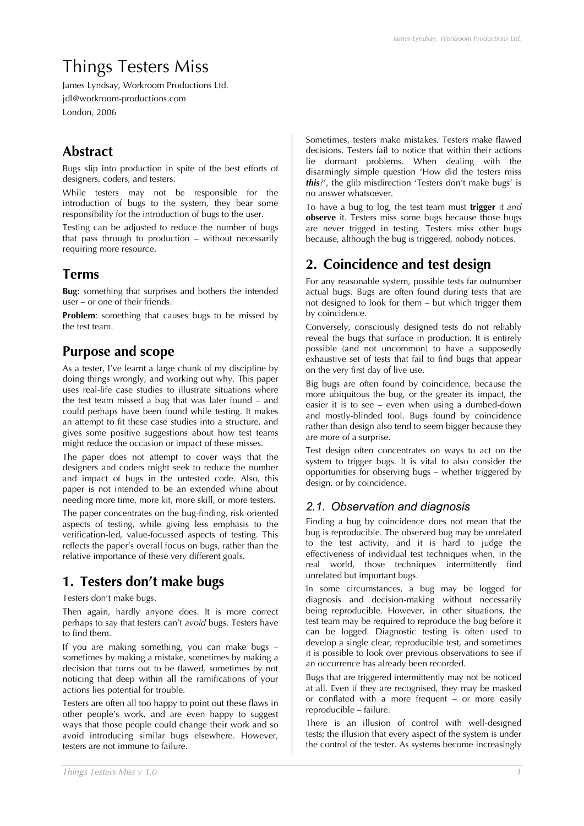# Things Testers Miss

James Lyndsay, Workroom Productions Ltd. jdl@workroom-productions.com London, 2006

# **Abstract**

Bugs slip into production in spite of the best efforts of designers, coders, and testers.

While testers may not be responsible for the introduction of bugs to the system, they bear some responsibility for the introduction of bugs to the user.

Testing can be adjusted to reduce the number of bugs that pass through to production – without necessarily requiring more resource.

# **Terms**

**Bug**: something that surprises and bothers the intended user – or one of their friends.

**Problem**: something that causes bugs to be missed by the test team.

# **Purpose and scope**

As a tester, I've learnt a large chunk of my discipline by doing things wrongly, and working out why. This paper uses real-life case studies to illustrate situations where the test team missed a bug that was later found – and could perhaps have been found while testing. It makes an attempt to fit these case studies into a structure, and gives some positive suggestions about how test teams might reduce the occasion or impact of these misses.

The paper does not attempt to cover ways that the designers and coders might seek to reduce the number and impact of bugs in the untested code. Also, this paper is not intended to be an extended whine about needing more time, more kit, more skill, or more testers.

The paper concentrates on the bug-finding, risk-oriented aspects of testing, while giving less emphasis to the verification-led, value-focussed aspects of testing. This reflects the paper's overall focus on bugs, rather than the relative importance of these very different goals.

# **1. Testers don't make bugs**

Testers don't make bugs.

Then again, hardly anyone does. It is more correct perhaps to say that testers can't *avoid* bugs. Testers have to find them.

If you are making something, you can make bugs – sometimes by making a mistake, sometimes by making a decision that turns out to be flawed, sometimes by not noticing that deep within all the ramifications of your actions lies potential for trouble.

Testers are often all too happy to point out these flaws in other people's work, and are even happy to suggest ways that those people could change their work and so avoid introducing similar bugs elsewhere. However, testers are not immune to failure.

Sometimes, testers make mistakes. Testers make flawed decisions. Testers fail to notice that within their actions lie dormant problems. When dealing with the disarmingly simple question 'How did the testers miss *this?*', the glib misdirection 'Testers don't make bugs' is no answer whatsoever.

To have a bug to log, the test team must **trigger** it *and* **observe** it. Testers miss some bugs because those bugs are never trigged in testing. Testers miss other bugs because, although the bug is triggered, nobody notices.

# **2. Coincidence and test design**

For any reasonable system, possible tests far outnumber actual bugs. Bugs are often found during tests that are not designed to look for them – but which trigger them by coincidence.

Conversely, consciously designed tests do not reliably reveal the bugs that surface in production. It is entirely possible (and not uncommon) to have a supposedly exhaustive set of tests that fail to find bugs that appear on the very first day of live use.

Big bugs are often found by coincidence, because the more ubiquitous the bug, or the greater its impact, the easier it is to see – even when using a dumbed-down and mostly-blinded tool. Bugs found by coincidence rather than design also tend to seem bigger because they are more of a surprise.

Test design often concentrates on ways to act on the system to trigger bugs. It is vital to also consider the opportunities for observing bugs – whether triggered by design, or by coincidence.

# *2.1. Observation and diagnosis*

Finding a bug by coincidence does not mean that the bug is reproducible. The observed bug may be unrelated to the test activity, and it is hard to judge the effectiveness of individual test techniques when, in the real world, those techniques intermittently find unrelated but important bugs.

In some circumstances, a bug may be logged for diagnosis and decision-making without necessarily being reproducible. However, in other situations, the test team may be required to reproduce the bug before it can be logged. Diagnostic testing is often used to develop a single clear, reproducible test, and sometimes it is possible to look over previous observations to see if an occurrence has already been recorded.

Bugs that are triggered intermittently may not be noticed at all. Even if they are recognised, they may be masked or conflated with a more frequent – or more easily reproducible – failure.

There is an illusion of control with well-designed tests; the illusion that every aspect of the system is under the control of the tester. As systems become increasingly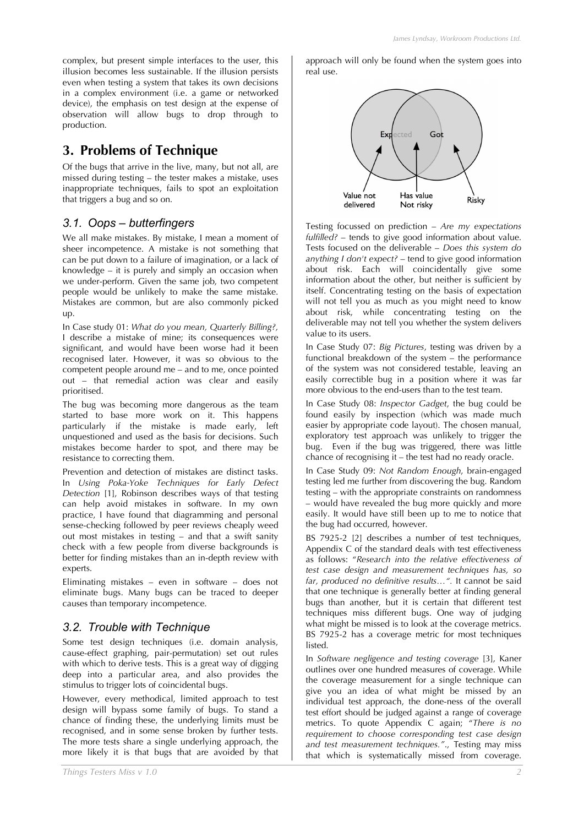# **3. Problems of Technique**

Of the bugs that arrive in the live, many, but not all, are missed during testing – the tester makes a mistake, uses inappropriate techniques, fails to spot an exploitation that triggers a bug and so on.

## *3.1. Oops – butterfingers*

We all make mistakes. By mistake, I mean a moment of sheer incompetence. A mistake is not something that can be put down to a failure of imagination, or a lack of knowledge – it is purely and simply an occasion when we under-perform. Given the same job, two competent people would be unlikely to make the same mistake. Mistakes are common, but are also commonly picked up.

In Case study 01: *What do you mean, Quarterly Billing?,* I describe a mistake of mine; its consequences were significant, and would have been worse had it been recognised later. However, it was so obvious to the competent people around me – and to me, once pointed out – that remedial action was clear and easily prioritised.

The bug was becoming more dangerous as the team started to base more work on it. This happens particularly if the mistake is made early, left unquestioned and used as the basis for decisions. Such mistakes become harder to spot, and there may be resistance to correcting them.

Prevention and detection of mistakes are distinct tasks. In *Using Poka-Yoke Techniques for Early Defect Detection* [1], Robinson describes ways of that testing can help avoid mistakes in software. In my own practice, I have found that diagramming and personal sense-checking followed by peer reviews cheaply weed out most mistakes in testing – and that a swift sanity check with a few people from diverse backgrounds is better for finding mistakes than an in-depth review with experts.

Eliminating mistakes – even in software – does not eliminate bugs. Many bugs can be traced to deeper causes than temporary incompetence.

## *3.2. Trouble with Technique*

Some test design techniques (i.e. domain analysis, cause-effect graphing, pair-permutation) set out rules with which to derive tests. This is a great way of digging deep into a particular area, and also provides the stimulus to trigger lots of coincidental bugs.

However, every methodical, limited approach to test design will bypass some family of bugs. To stand a chance of finding these, the underlying limits must be recognised, and in some sense broken by further tests. The more tests share a single underlying approach, the more likely it is that bugs that are avoided by that approach will only be found when the system goes into real use.



Testing focussed on prediction – *Are my expectations fulfilled?* – tends to give good information about value. Tests focused on the deliverable – *Does this system do anything I don't expect?* – tend to give good information about risk. Each will coincidentally give some information about the other, but neither is sufficient by itself. Concentrating testing on the basis of expectation will not tell you as much as you might need to know about risk, while concentrating testing on the deliverable may not tell you whether the system delivers value to its users.

In Case Study 07: *Big Pictures*, testing was driven by a functional breakdown of the system – the performance of the system was not considered testable, leaving an easily correctible bug in a position where it was far more obvious to the end-users than to the test team.

In Case Study 08: *Inspector Gadget*, the bug could be found easily by inspection (which was made much easier by appropriate code layout). The chosen manual, exploratory test approach was unlikely to trigger the bug. Even if the bug was triggered, there was little chance of recognising it – the test had no ready oracle.

In Case Study 09: *Not Random Enough*, brain-engaged testing led me further from discovering the bug. Random testing – with the appropriate constraints on randomness – would have revealed the bug more quickly and more easily. It would have still been up to me to notice that the bug had occurred, however.

BS 7925-2 [2] describes a number of test techniques, Appendix C of the standard deals with test effectiveness as follows: "*Research into the relative effectiveness of test case design and measurement techniques has, so far, produced no definitive results…".* It cannot be said that one technique is generally better at finding general bugs than another, but it is certain that different test techniques miss different bugs. One way of judging what might be missed is to look at the coverage metrics. BS 7925-2 has a coverage metric for most techniques listed.

In *Software negligence and testing coverage* [3], Kaner outlines over one hundred measures of coverage. While the coverage measurement for a single technique can give you an idea of what might be missed by an individual test approach, the done-ness of the overall test effort should be judged against a range of coverage metrics. To quote Appendix C again; "*There is no requirement to choose corresponding test case design and test measurement techniques."*., Testing may miss that which is systematically missed from coverage.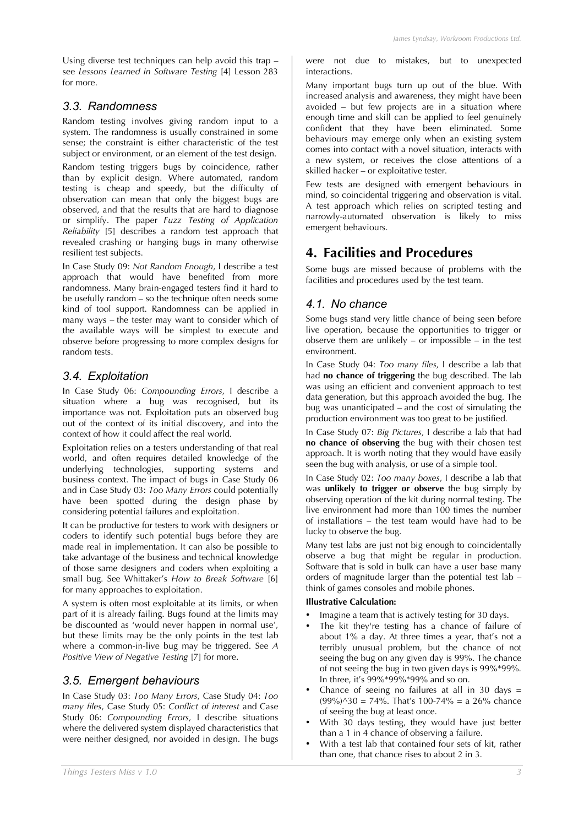Using diverse test techniques can help avoid this trap – see *Lessons Learned in Software Testing* [4] Lesson 283 for more.

### *3.3. Randomness*

Random testing involves giving random input to a system. The randomness is usually constrained in some sense; the constraint is either characteristic of the test subject or environment, or an element of the test design.

Random testing triggers bugs by coincidence, rather than by explicit design. Where automated, random testing is cheap and speedy, but the difficulty of observation can mean that only the biggest bugs are observed, and that the results that are hard to diagnose or simplify. The paper *Fuzz Testing of Application Reliability* [5] describes a random test approach that revealed crashing or hanging bugs in many otherwise resilient test subjects.

In Case Study 09: *Not Random Enough*, I describe a test approach that would have benefited from more randomness. Many brain-engaged testers find it hard to be usefully random – so the technique often needs some kind of tool support. Randomness can be applied in many ways – the tester may want to consider which of the available ways will be simplest to execute and observe before progressing to more complex designs for random tests.

### *3.4. Exploitation*

In Case Study 06: *Compounding Errors*, I describe a situation where a bug was recognised, but its importance was not. Exploitation puts an observed bug out of the context of its initial discovery, and into the context of how it could affect the real world.

Exploitation relies on a testers understanding of that real world, and often requires detailed knowledge of the underlying technologies, supporting systems and business context. The impact of bugs in Case Study 06 and in Case Study 03: *Too Many Errors* could potentially have been spotted during the design phase by considering potential failures and exploitation.

It can be productive for testers to work with designers or coders to identify such potential bugs before they are made real in implementation. It can also be possible to take advantage of the business and technical knowledge of those same designers and coders when exploiting a small bug. See Whittaker's *How to Break Software* [6] for many approaches to exploitation.

A system is often most exploitable at its limits, or when part of it is already failing. Bugs found at the limits may be discounted as 'would never happen in normal use', but these limits may be the only points in the test lab where a common-in-live bug may be triggered. See *A Positive View of Negative Testing* [7] for more.

## *3.5. Emergent behaviours*

In Case Study 03: *Too Many Errors*, Case Study 04: *Too many files*, Case Study 05: *Conflict of interest* and Case Study 06: *Compounding Errors*, I describe situations where the delivered system displayed characteristics that were neither designed, nor avoided in design. The bugs were not due to mistakes, but to unexpected interactions.

Many important bugs turn up out of the blue. With increased analysis and awareness, they might have been avoided – but few projects are in a situation where enough time and skill can be applied to feel genuinely confident that they have been eliminated. Some behaviours may emerge only when an existing system comes into contact with a novel situation, interacts with a new system, or receives the close attentions of a skilled hacker – or exploitative tester.

Few tests are designed with emergent behaviours in mind, so coincidental triggering and observation is vital. A test approach which relies on scripted testing and narrowly-automated observation is likely to miss emergent behaviours.

# **4. Facilities and Procedures**

Some bugs are missed because of problems with the facilities and procedures used by the test team.

### *4.1. No chance*

Some bugs stand very little chance of being seen before live operation, because the opportunities to trigger or observe them are unlikely – or impossible – in the test environment.

In Case Study 04: *Too many files*, I describe a lab that had **no chance of triggering** the bug described. The lab was using an efficient and convenient approach to test data generation, but this approach avoided the bug. The bug was unanticipated – and the cost of simulating the production environment was too great to be justified.

In Case Study 07: *Big Pictures*, I describe a lab that had **no chance of observing** the bug with their chosen test approach. It is worth noting that they would have easily seen the bug with analysis, or use of a simple tool.

In Case Study 02: *Too many boxes*, I describe a lab that was **unlikely to trigger or observe** the bug simply by observing operation of the kit during normal testing. The live environment had more than 100 times the number of installations – the test team would have had to be lucky to observe the bug.

Many test labs are just not big enough to coincidentally observe a bug that might be regular in production. Software that is sold in bulk can have a user base many orders of magnitude larger than the potential test lab – think of games consoles and mobile phones.

#### **Illustrative Calculation:**

- Imagine a team that is actively testing for 30 days.
- The kit they're testing has a chance of failure of about 1% a day. At three times a year, that's not a terribly unusual problem, but the chance of not seeing the bug on any given day is 99%. The chance of not seeing the bug in two given days is 99%\*99%. In three, it's 99%\*99%\*99% and so on.
- Chance of seeing no failures at all in 30 days  $=$  $(99\%)$  $\land$ 30 = 74%. That's 100-74% = a 26% chance of seeing the bug at least once.
- With 30 days testing, they would have just better than a 1 in 4 chance of observing a failure.
- With a test lab that contained four sets of kit, rather than one, that chance rises to about 2 in 3.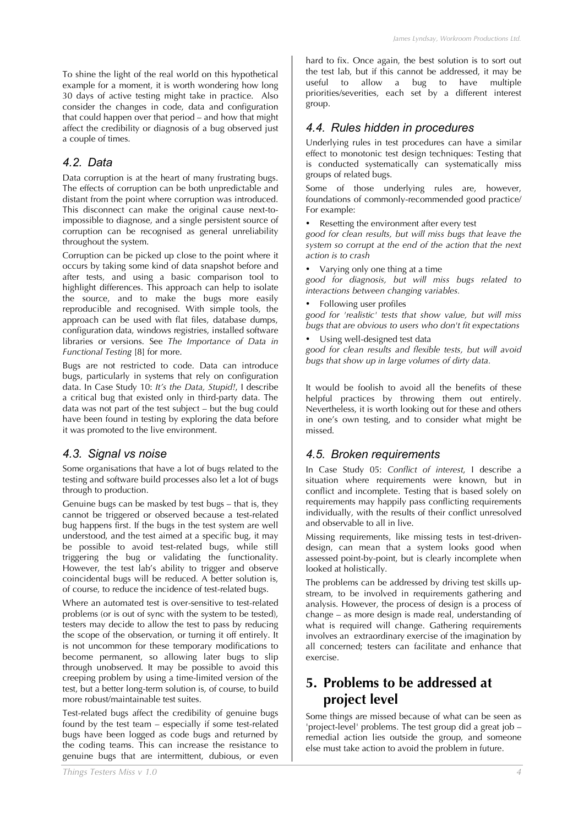To shine the light of the real world on this hypothetical example for a moment, it is worth wondering how long 30 days of active testing might take in practice. Also consider the changes in code, data and configuration that could happen over that period – and how that might affect the credibility or diagnosis of a bug observed just a couple of times.

### *4.2. Data*

Data corruption is at the heart of many frustrating bugs. The effects of corruption can be both unpredictable and distant from the point where corruption was introduced. This disconnect can make the original cause next-toimpossible to diagnose, and a single persistent source of corruption can be recognised as general unreliability throughout the system.

Corruption can be picked up close to the point where it occurs by taking some kind of data snapshot before and after tests, and using a basic comparison tool to highlight differences. This approach can help to isolate the source, and to make the bugs more easily reproducible and recognised. With simple tools, the approach can be used with flat files, database dumps, configuration data, windows registries, installed software libraries or versions. See *The Importance of Data in Functional Testing* [8] for more.

Bugs are not restricted to code. Data can introduce bugs, particularly in systems that rely on configuration data. In Case Study 10: *It's the Data, Stupid!*, I describe a critical bug that existed only in third-party data. The data was not part of the test subject – but the bug could have been found in testing by exploring the data before it was promoted to the live environment.

### *4.3. Signal vs noise*

Some organisations that have a lot of bugs related to the testing and software build processes also let a lot of bugs through to production.

Genuine bugs can be masked by test bugs – that is, they cannot be triggered or observed because a test-related bug happens first. If the bugs in the test system are well understood, and the test aimed at a specific bug, it may be possible to avoid test-related bugs, while still triggering the bug or validating the functionality. However, the test lab's ability to trigger and observe coincidental bugs will be reduced. A better solution is, of course, to reduce the incidence of test-related bugs.

Where an automated test is over-sensitive to test-related problems (or is out of sync with the system to be tested), testers may decide to allow the test to pass by reducing the scope of the observation, or turning it off entirely. It is not uncommon for these temporary modifications to become permanent, so allowing later bugs to slip through unobserved. It may be possible to avoid this creeping problem by using a time-limited version of the test, but a better long-term solution is, of course, to build more robust/maintainable test suites.

Test-related bugs affect the credibility of genuine bugs found by the test team – especially if some test-related bugs have been logged as code bugs and returned by the coding teams. This can increase the resistance to genuine bugs that are intermittent, dubious, or even hard to fix. Once again, the best solution is to sort out the test lab, but if this cannot be addressed, it may be useful to allow a bug to have multiple priorities/severities, each set by a different interest group.

# *4.4. Rules hidden in procedures*

Underlying rules in test procedures can have a similar effect to monotonic test design techniques: Testing that is conducted systematically can systematically miss groups of related bugs.

Some of those underlying rules are, however, foundations of commonly-recommended good practice/ For example:

• Resetting the environment after every test

*good for clean results, but will miss bugs that leave the system so corrupt at the end of the action that the next action is to crash*

• Varying only one thing at a time

*good for diagnosis, but will miss bugs related to interactions between changing variables.*

• Following user profiles

*good for 'realistic' tests that show value, but will miss bugs that are obvious to users who don't fit expectations*

• Using well-designed test data *good for clean results and flexible tests, but will avoid bugs that show up in large volumes of dirty data.*

It would be foolish to avoid all the benefits of these helpful practices by throwing them out entirely. Nevertheless, it is worth looking out for these and others in one's own testing, and to consider what might be missed.

## *4.5. Broken requirements*

In Case Study 05: *Conflict of interest*, I describe a situation where requirements were known, but in conflict and incomplete. Testing that is based solely on requirements may happily pass conflicting requirements individually, with the results of their conflict unresolved and observable to all in live.

Missing requirements, like missing tests in test-drivendesign, can mean that a system looks good when assessed point-by-point, but is clearly incomplete when looked at holistically.

The problems can be addressed by driving test skills upstream, to be involved in requirements gathering and analysis. However, the process of design is a process of change – as more design is made real, understanding of what is required will change. Gathering requirements involves an extraordinary exercise of the imagination by all concerned; testers can facilitate and enhance that exercise.

# **5. Problems to be addressed at project level**

Some things are missed because of what can be seen as 'project-level' problems. The test group did a great job – remedial action lies outside the group, and someone else must take action to avoid the problem in future.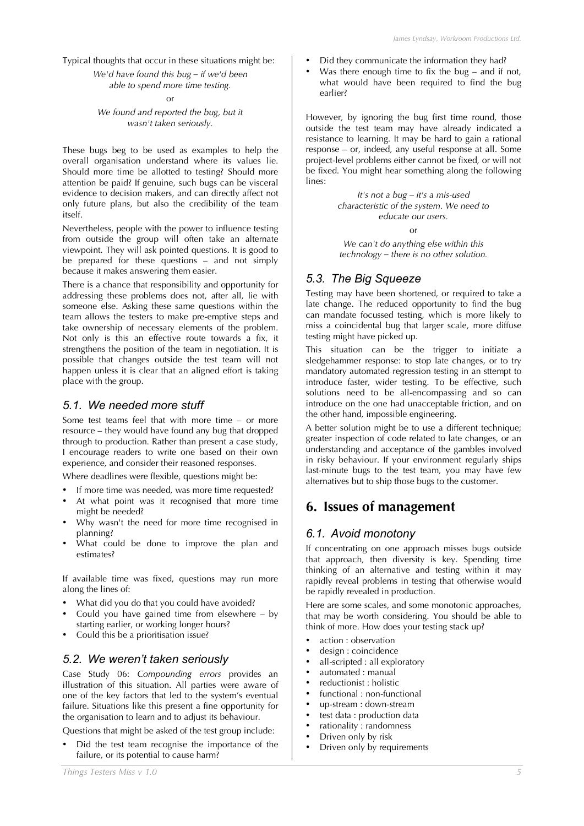Typical thoughts that occur in these situations might be: *We'd have found this bug – if we'd been*

*able to spend more time testing.*

or

*We found and reported the bug, but it wasn't taken seriously.*

These bugs beg to be used as examples to help the overall organisation understand where its values lie. Should more time be allotted to testing? Should more attention be paid? If genuine, such bugs can be visceral evidence to decision makers, and can directly affect not only future plans, but also the credibility of the team itself.

Nevertheless, people with the power to influence testing from outside the group will often take an alternate viewpoint. They will ask pointed questions. It is good to be prepared for these questions – and not simply because it makes answering them easier.

There is a chance that responsibility and opportunity for addressing these problems does not, after all, lie with someone else. Asking these same questions within the team allows the testers to make pre-emptive steps and take ownership of necessary elements of the problem. Not only is this an effective route towards a fix, it strengthens the position of the team in negotiation. It is possible that changes outside the test team will not happen unless it is clear that an aligned effort is taking place with the group.

#### *5.1. We needed more stuff*

Some test teams feel that with more time – or more resource – they would have found any bug that dropped through to production. Rather than present a case study, I encourage readers to write one based on their own experience, and consider their reasoned responses.

Where deadlines were flexible, questions might be:

- If more time was needed, was more time requested?
- At what point was it recognised that more time might be needed?
- Why wasn't the need for more time recognised in planning?
- What could be done to improve the plan and estimates?

If available time was fixed, questions may run more along the lines of:

- What did you do that you could have avoided?
- Could you have gained time from elsewhere  $-$  by starting earlier, or working longer hours?
- Could this be a prioritisation issue?

#### *5.2. We weren't taken seriously*

Case Study 06: *Compounding errors* provides an illustration of this situation. All parties were aware of one of the key factors that led to the system's eventual failure. Situations like this present a fine opportunity for the organisation to learn and to adjust its behaviour.

Questions that might be asked of the test group include:

• Did the test team recognise the importance of the failure, or its potential to cause harm?

- Did they communicate the information they had?
- Was there enough time to fix the bug and if not. what would have been required to find the bug earlier?

However, by ignoring the bug first time round, those outside the test team may have already indicated a resistance to learning. It may be hard to gain a rational response – or, indeed, any useful response at all. Some project-level problems either cannot be fixed, or will not be fixed. You might hear something along the following lines:

> *It's not a bug – it's a mis-used characteristic of the system. We need to educate our users.* or

*We can't do anything else within this technology – there is no other solution.*

### *5.3. The Big Squeeze*

Testing may have been shortened, or required to take a late change. The reduced opportunity to find the bug can mandate focussed testing, which is more likely to miss a coincidental bug that larger scale, more diffuse testing might have picked up.

This situation can be the trigger to initiate a sledgehammer response: to stop late changes, or to try mandatory automated regression testing in an sttempt to introduce faster, wider testing. To be effective, such solutions need to be all-encompassing and so can introduce on the one had unacceptable friction, and on the other hand, impossible engineering.

A better solution might be to use a different technique; greater inspection of code related to late changes, or an understanding and acceptance of the gambles involved in risky behaviour. If your environment regularly ships last-minute bugs to the test team, you may have few alternatives but to ship those bugs to the customer.

# **6. Issues of management**

#### *6.1. Avoid monotony*

If concentrating on one approach misses bugs outside that approach, then diversity is key. Spending time thinking of an alternative and testing within it may rapidly reveal problems in testing that otherwise would be rapidly revealed in production.

Here are some scales, and some monotonic approaches, that may be worth considering. You should be able to think of more. How does your testing stack up?

- action : observation
- design : coincidence
- all-scripted : all exploratory
- automated : manual
- reductionist : holistic
- functional : non-functional
- up-stream : down-stream
- test data : production data
- rationality : randomness
- Driven only by risk
- Driven only by requirements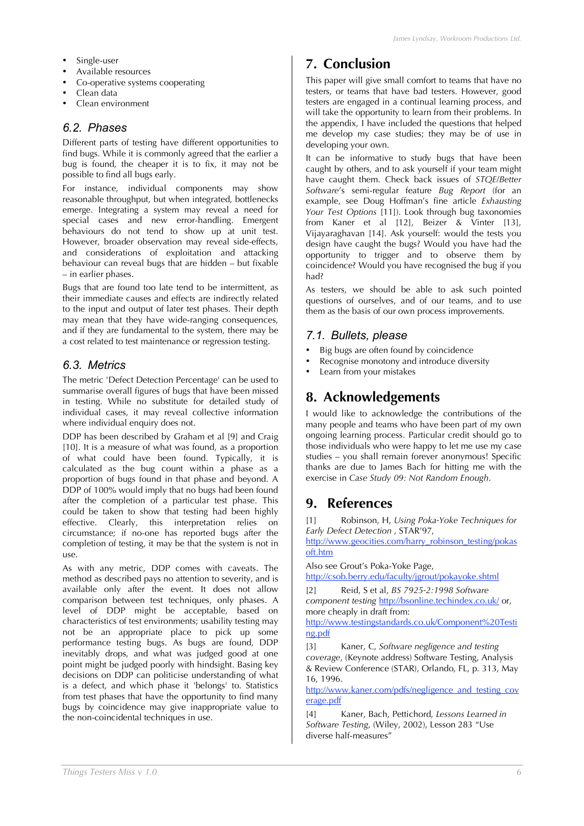- Single-user
- Available resources
- Co-operative systems cooperating
- Clean data
- Clean environment

### *6.2. Phases*

Different parts of testing have different opportunities to find bugs. While it is commonly agreed that the earlier a bug is found, the cheaper it is to fix, it may not be possible to find all bugs early.

For instance, individual components may show reasonable throughput, but when integrated, bottlenecks emerge. Integrating a system may reveal a need for special cases and new error-handling. Emergent behaviours do not tend to show up at unit test. However, broader observation may reveal side-effects, and considerations of exploitation and attacking behaviour can reveal bugs that are hidden – but fixable – in earlier phases.

Bugs that are found too late tend to be intermittent, as their immediate causes and effects are indirectly related to the input and output of later test phases. Their depth may mean that they have wide-ranging consequences, and if they are fundamental to the system, there may be a cost related to test maintenance or regression testing.

### *6.3. Metrics*

The metric 'Defect Detection Percentage' can be used to summarise overall figures of bugs that have been missed in testing. While no substitute for detailed study of individual cases, it may reveal collective information where individual enquiry does not.

DDP has been described by Graham et al [9] and Craig [10]. It is a measure of what was found, as a proportion of what could have been found. Typically, it is calculated as the bug count within a phase as a proportion of bugs found in that phase and beyond. A DDP of 100% would imply that no bugs had been found after the completion of a particular test phase. This could be taken to show that testing had been highly effective. Clearly, this interpretation relies on circumstance; if no-one has reported bugs after the completion of testing, it may be that the system is not in use.

As with any metric, DDP comes with caveats. The method as described pays no attention to severity, and is available only after the event. It does not allow comparison between test techniques, only phases. A level of DDP might be acceptable, based on characteristics of test environments; usability testing may not be an appropriate place to pick up some performance testing bugs. As bugs are found, DDP inevitably drops, and what was judged good at one point might be judged poorly with hindsight. Basing key decisions on DDP can politicise understanding of what is a defect, and which phase it 'belongs' to. Statistics from test phases that have the opportunity to find many bugs by coincidence may give inappropriate value to the non-coincidental techniques in use.

# **7. Conclusion**

This paper will give small comfort to teams that have no testers, or teams that have bad testers. However, good testers are engaged in a continual learning process, and will take the opportunity to learn from their problems. In the appendix, I have included the questions that helped me develop my case studies; they may be of use in developing your own.

It can be informative to study bugs that have been caught by others, and to ask yourself if your team might have caught them. Check back issues of *STOE/Better Software*'s semi-regular feature *Bug Report* (for an example, see Doug Hoffman's fine article *Exhausting Your Test Options* [11]). Look through bug taxonomies from Kaner et al [12], Beizer & Vinter [13], Vijayaraghavan [14]. Ask yourself: would the tests you design have caught the bugs? Would you have had the opportunity to trigger and to observe them by coincidence? Would you have recognised the bug if you had?

As testers, we should be able to ask such pointed questions of ourselves, and of our teams, and to use them as the basis of our own process improvements.

### *7.1. Bullets, please*

- Big bugs are often found by coincidence
- Recognise monotony and introduce diversity
- Learn from your mistakes

# **8. Acknowledgements**

I would like to acknowledge the contributions of the many people and teams who have been part of my own ongoing learning process. Particular credit should go to those individuals who were happy to let me use my case studies – you shall remain forever anonymous! Specific thanks are due to James Bach for hitting me with the exercise in *Case Study 09: Not Random Enough*.

# **9. References**

[1] Robinson, H, *Using Poka-Yoke Techniques for Early Defect Detection* , STAR'97,

http://www.geocities.com/harry\_robinson\_testing/pokas oft.htm

Also see Grout's Poka-Yoke Page,

http://csob.berry.edu/faculty/jgrout/pokayoke.shtml

[2] Reid, S et al, *BS 7925-2:1998 Software component testing* http://bsonline.techindex.co.uk/ or, more cheaply in draft from:

http://www.testingstandards.co.uk/Component%20Testi ng.pdf

[3] Kaner, C, *Software negligence and testing coverage*, (Keynote address) Software Testing, Analysis & Review Conference (STAR), Orlando, FL, p. 313, May 16, 1996.

http://www.kaner.com/pdfs/negligence\_and\_testing\_cov erage.pdf

[4] Kaner, Bach, Pettichord, *Lessons Learned in Software Testing*, (Wiley, 2002), Lesson 283 "Use diverse half-measures"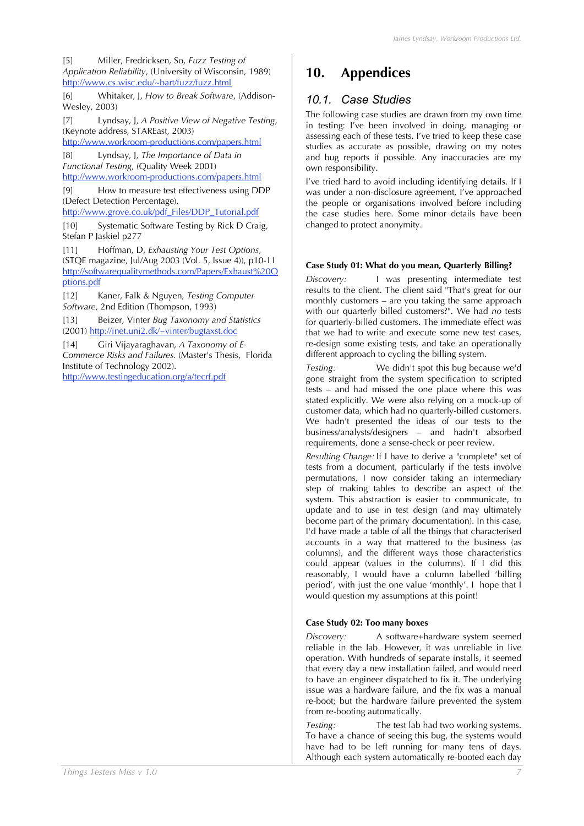[5] Miller, Fredricksen, So, *Fuzz Testing of Application Reliability*, (University of Wisconsin, 1989) http://www.cs.wisc.edu/~bart/fuzz/fuzz.html

[6] Whitaker, J, *How to Break Software*, (Addison-Wesley, 2003)

[7] Lyndsay, J, *A Positive View of Negative Testing*, (Keynote address, STAREast, 2003)

http://www.workroom-productions.com/papers.html

[8] Lyndsay, J, *The Importance of Data in Functional Testing*, (Quality Week 2001) http://www.workroom-productions.com/papers.html

[9] How to measure test effectiveness using DDP (Defect Detection Percentage),

http://www.grove.co.uk/pdf\_Files/DDP\_Tutorial.ndf

[10] Systematic Software Testing by Rick D Craig, Stefan P Jaskiel p277

[11] Hoffman, D, *Exhausting Your Test Options*, (STQE magazine, Jul/Aug 2003 (Vol. 5, Issue 4)), p10-11 http://softwarequalitymethods.com/Papers/Exhaust%20O ptions.pdf

[12] Kaner, Falk & Nguyen, *Testing Computer Software*, 2nd Edition (Thompson, 1993)

[13] Beizer, Vinter *Bug Taxonomy and Statistics* (2001) http://inet.uni2.dk/~vinter/bugtaxst.doc

[14] Giri Vijayaraghavan, *A Taxonomy of E-Commerce Risks and Failures.* (Master's Thesis, Florida Institute of Technology 2002).

http://www.testingeducation.org/a/tecrf.pdf

# **10. Appendices**

### *10.1. Case Studies*

The following case studies are drawn from my own time in testing: I've been involved in doing, managing or assessing each of these tests. I've tried to keep these case studies as accurate as possible, drawing on my notes and bug reports if possible. Any inaccuracies are my own responsibility.

I've tried hard to avoid including identifying details. If I was under a non-disclosure agreement, I've approached the people or organisations involved before including the case studies here. Some minor details have been changed to protect anonymity.

#### **Case Study 01: What do you mean, Quarterly Billing?**

*Discovery:* I was presenting intermediate test results to the client. The client said "That's great for our monthly customers – are you taking the same approach with our quarterly billed customers?". We had *no* tests for quarterly-billed customers. The immediate effect was that we had to write and execute some new test cases, re-design some existing tests, and take an operationally different approach to cycling the billing system.

*Testing:* We didn't spot this bug because we'd gone straight from the system specification to scripted tests – and had missed the one place where this was stated explicitly. We were also relying on a mock-up of customer data, which had no quarterly-billed customers. We hadn't presented the ideas of our tests to the business/analysts/designers – and hadn't absorbed requirements, done a sense-check or peer review.

*Resulting Change:* If I have to derive a "complete" set of tests from a document, particularly if the tests involve permutations, I now consider taking an intermediary step of making tables to describe an aspect of the system. This abstraction is easier to communicate, to update and to use in test design (and may ultimately become part of the primary documentation). In this case, I'd have made a table of all the things that characterised accounts in a way that mattered to the business (as columns), and the different ways those characteristics could appear (values in the columns). If I did this reasonably, I would have a column labelled 'billing period', with just the one value 'monthly'. I hope that I would question my assumptions at this point!

#### **Case Study 02: Too many boxes**

*Discovery:* A software+hardware system seemed reliable in the lab. However, it was unreliable in live operation. With hundreds of separate installs, it seemed that every day a new installation failed, and would need to have an engineer dispatched to fix it. The underlying issue was a hardware failure, and the fix was a manual re-boot; but the hardware failure prevented the system from re-booting automatically.

*Testing:* The test lab had two working systems. To have a chance of seeing this bug, the systems would have had to be left running for many tens of days. Although each system automatically re-booted each day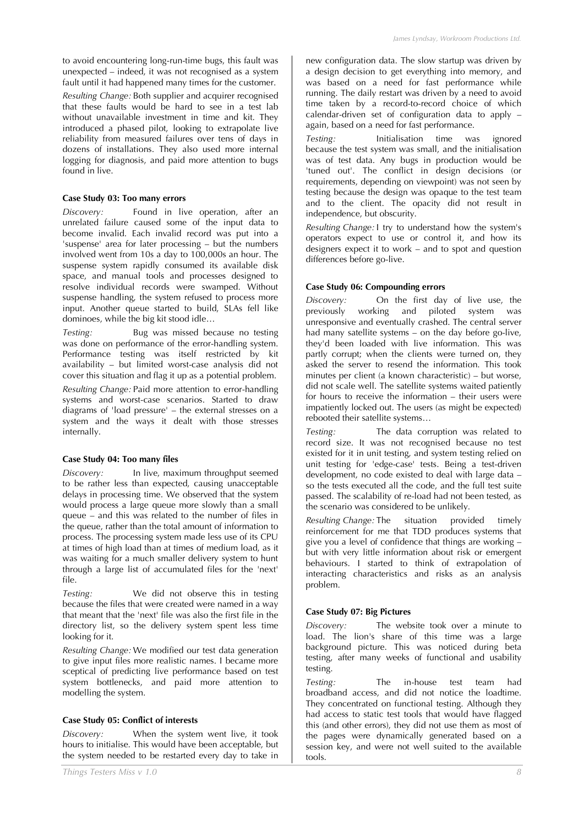to avoid encountering long-run-time bugs, this fault was unexpected – indeed, it was not recognised as a system fault until it had happened many times for the customer.

*Resulting Change:* Both supplier and acquirer recognised that these faults would be hard to see in a test lab without unavailable investment in time and kit. They introduced a phased pilot, looking to extrapolate live reliability from measured failures over tens of days in dozens of installations. They also used more internal logging for diagnosis, and paid more attention to bugs found in live.

#### **Case Study 03: Too many errors**

*Discovery:* Found in live operation, after an unrelated failure caused some of the input data to become invalid. Each invalid record was put into a 'suspense' area for later processing – but the numbers involved went from 10s a day to 100,000s an hour. The suspense system rapidly consumed its available disk space, and manual tools and processes designed to resolve individual records were swamped. Without suspense handling, the system refused to process more input. Another queue started to build, SLAs fell like dominoes, while the big kit stood idle…

*Testing:* Bug was missed because no testing was done on performance of the error-handling system. Performance testing was itself restricted by kit availability – but limited worst-case analysis did not cover this situation and flag it up as a potential problem.

*Resulting Change:* Paid more attention to error-handling systems and worst-case scenarios. Started to draw diagrams of 'load pressure' – the external stresses on a system and the ways it dealt with those stresses internally.

#### **Case Study 04: Too many files**

*Discovery:* In live, maximum throughput seemed to be rather less than expected, causing unacceptable delays in processing time. We observed that the system would process a large queue more slowly than a small queue – and this was related to the number of files in the queue, rather than the total amount of information to process. The processing system made less use of its CPU at times of high load than at times of medium load, as it was waiting for a much smaller delivery system to hunt through a large list of accumulated files for the 'next' file.

*Testing:* We did not observe this in testing because the files that were created were named in a way that meant that the 'next' file was also the first file in the directory list, so the delivery system spent less time looking for it.

*Resulting Change:* We modified our test data generation to give input files more realistic names. I became more sceptical of predicting live performance based on test system bottlenecks, and paid more attention to modelling the system.

#### **Case Study 05: Conflict of interests**

*Discovery:* When the system went live, it took hours to initialise. This would have been acceptable, but the system needed to be restarted every day to take in new configuration data. The slow startup was driven by a design decision to get everything into memory, and was based on a need for fast performance while running. The daily restart was driven by a need to avoid time taken by a record-to-record choice of which calendar-driven set of configuration data to apply – again, based on a need for fast performance.

*Testing:* Initialisation time was ignored because the test system was small, and the initialisation was of test data. Any bugs in production would be 'tuned out'. The conflict in design decisions (or requirements, depending on viewpoint) was not seen by testing because the design was opaque to the test team and to the client. The opacity did not result in independence, but obscurity.

*Resulting Change:* I try to understand how the system's operators expect to use or control it, and how its designers expect it to work – and to spot and question differences before go-live.

#### **Case Study 06: Compounding errors**

*Discovery:* On the first day of live use, the previously working and piloted system was unresponsive and eventually crashed. The central server had many satellite systems – on the day before go-live, they'd been loaded with live information. This was partly corrupt; when the clients were turned on, they asked the server to resend the information. This took minutes per client (a known characteristic) – but worse, did not scale well. The satellite systems waited patiently for hours to receive the information – their users were impatiently locked out. The users (as might be expected) rebooted their satellite systems…

*Testing:* The data corruption was related to record size. It was not recognised because no test existed for it in unit testing, and system testing relied on unit testing for 'edge-case' tests. Being a test-driven development, no code existed to deal with large data – so the tests executed all the code, and the full test suite passed. The scalability of re-load had not been tested, as the scenario was considered to be unlikely.

*Resulting Change:* The situation provided timely reinforcement for me that TDD produces systems that give you a level of confidence that things are working – but with very little information about risk or emergent behaviours. I started to think of extrapolation of interacting characteristics and risks as an analysis problem.

#### **Case Study 07: Big Pictures**

*Discovery:* The website took over a minute to load. The lion's share of this time was a large background picture. This was noticed during beta testing, after many weeks of functional and usability testing.

*Testing:* The in-house test team had broadband access, and did not notice the loadtime. They concentrated on functional testing. Although they had access to static test tools that would have flagged this (and other errors), they did not use them as most of the pages were dynamically generated based on a session key, and were not well suited to the available tools.